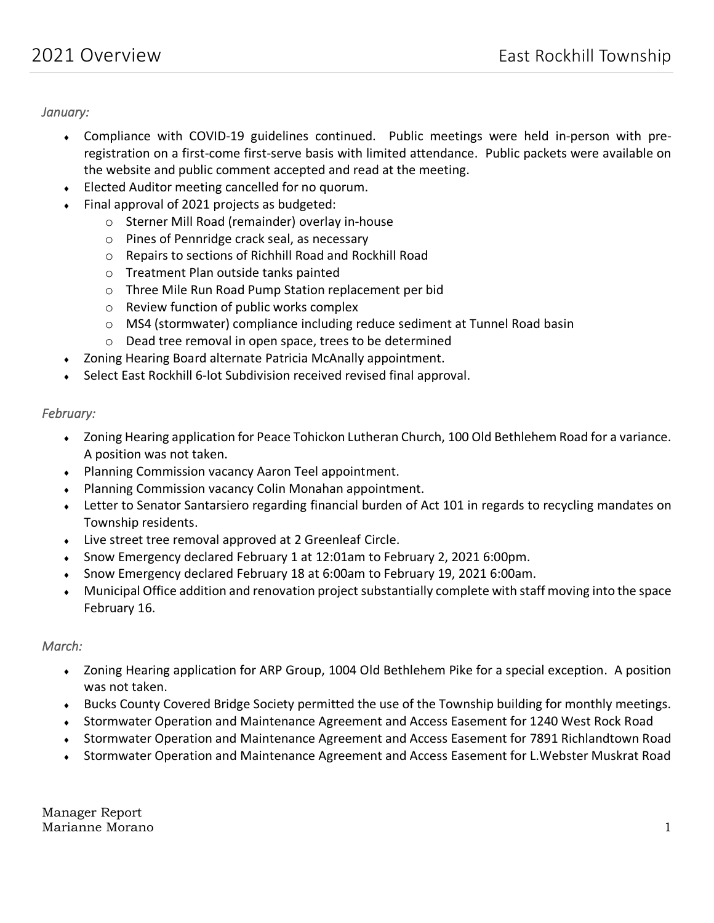*January:* 

- Compliance with COVID-19 guidelines continued. Public meetings were held in-person with preregistration on a first-come first-serve basis with limited attendance. Public packets were available on the website and public comment accepted and read at the meeting.
- Elected Auditor meeting cancelled for no quorum.
- Final approval of 2021 projects as budgeted:
	- o Sterner Mill Road (remainder) overlay in-house
	- o Pines of Pennridge crack seal, as necessary
	- o Repairs to sections of Richhill Road and Rockhill Road
	- o Treatment Plan outside tanks painted
	- o Three Mile Run Road Pump Station replacement per bid
	- o Review function of public works complex
	- o MS4 (stormwater) compliance including reduce sediment at Tunnel Road basin
	- o Dead tree removal in open space, trees to be determined
- Zoning Hearing Board alternate Patricia McAnally appointment.
- Select East Rockhill 6-lot Subdivision received revised final approval.

### *February:*

- Zoning Hearing application for Peace Tohickon Lutheran Church, 100 Old Bethlehem Road for a variance. A position was not taken.
- Planning Commission vacancy Aaron Teel appointment.
- Planning Commission vacancy Colin Monahan appointment.
- Letter to Senator Santarsiero regarding financial burden of Act 101 in regards to recycling mandates on Township residents.
- Live street tree removal approved at 2 Greenleaf Circle.
- Snow Emergency declared February 1 at 12:01am to February 2, 2021 6:00pm.
- Snow Emergency declared February 18 at 6:00am to February 19, 2021 6:00am.
- Municipal Office addition and renovation project substantially complete with staff moving into the space February 16.

### *March:*

- Zoning Hearing application for ARP Group, 1004 Old Bethlehem Pike for a special exception. A position was not taken.
- Bucks County Covered Bridge Society permitted the use of the Township building for monthly meetings.
- Stormwater Operation and Maintenance Agreement and Access Easement for 1240 West Rock Road
- Stormwater Operation and Maintenance Agreement and Access Easement for 7891 Richlandtown Road
- Stormwater Operation and Maintenance Agreement and Access Easement for L.Webster Muskrat Road

Manager Report Marianne Morano 1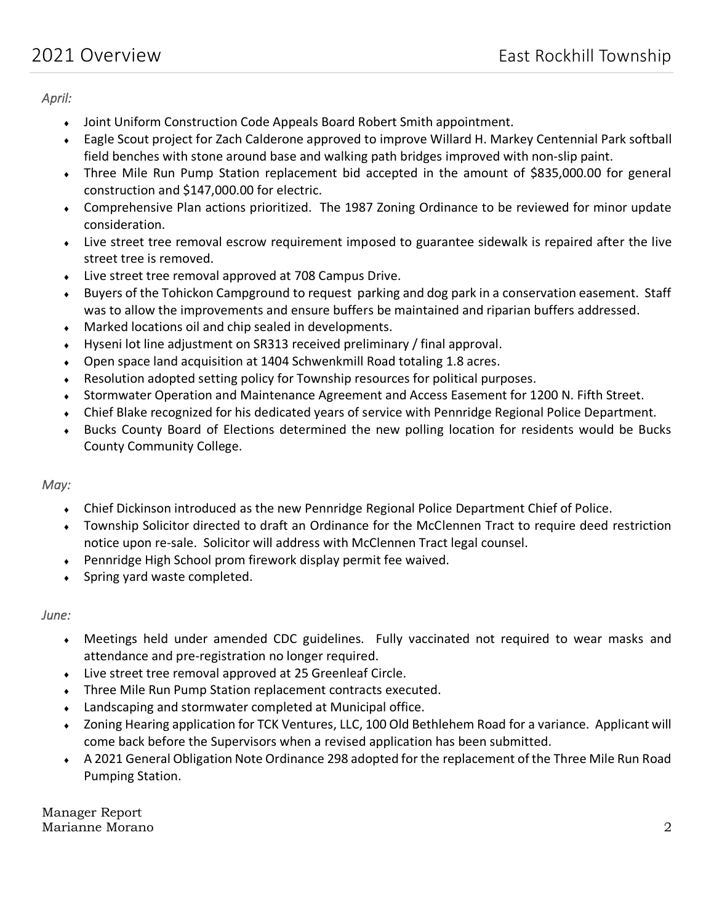*April:* 

- Joint Uniform Construction Code Appeals Board Robert Smith appointment.
- Eagle Scout project for Zach Calderone approved to improve Willard H. Markey Centennial Park softball field benches with stone around base and walking path bridges improved with non-slip paint.
- Three Mile Run Pump Station replacement bid accepted in the amount of \$835,000.00 for general construction and \$147,000.00 for electric.
- Comprehensive Plan actions prioritized. The 1987 Zoning Ordinance to be reviewed for minor update consideration.
- Live street tree removal escrow requirement imposed to guarantee sidewalk is repaired after the live street tree is removed.
- Live street tree removal approved at 708 Campus Drive.
- Buyers of the Tohickon Campground to request parking and dog park in a conservation easement. Staff was to allow the improvements and ensure buffers be maintained and riparian buffers addressed.
- Marked locations oil and chip sealed in developments.
- Hyseni lot line adjustment on SR313 received preliminary / final approval.
- Open space land acquisition at 1404 Schwenkmill Road totaling 1.8 acres.
- Resolution adopted setting policy for Township resources for political purposes.
- Stormwater Operation and Maintenance Agreement and Access Easement for 1200 N. Fifth Street.
- Chief Blake recognized for his dedicated years of service with Pennridge Regional Police Department.
- Bucks County Board of Elections determined the new polling location for residents would be Bucks County Community College.

# *May:*

- Chief Dickinson introduced as the new Pennridge Regional Police Department Chief of Police.
- Township Solicitor directed to draft an Ordinance for the McClennen Tract to require deed restriction notice upon re-sale. Solicitor will address with McClennen Tract legal counsel.
- Pennridge High School prom firework display permit fee waived.
- Spring yard waste completed.

### *June:*

- Meetings held under amended CDC guidelines. Fully vaccinated not required to wear masks and attendance and pre-registration no longer required.
- Live street tree removal approved at 25 Greenleaf Circle.
- Three Mile Run Pump Station replacement contracts executed.
- Landscaping and stormwater completed at Municipal office.
- Zoning Hearing application for TCK Ventures, LLC, 100 Old Bethlehem Road for a variance. Applicant will come back before the Supervisors when a revised application has been submitted.
- A 2021 General Obligation Note Ordinance 298 adopted for the replacement of the Three Mile Run Road Pumping Station.

Manager Report Marianne Morano 2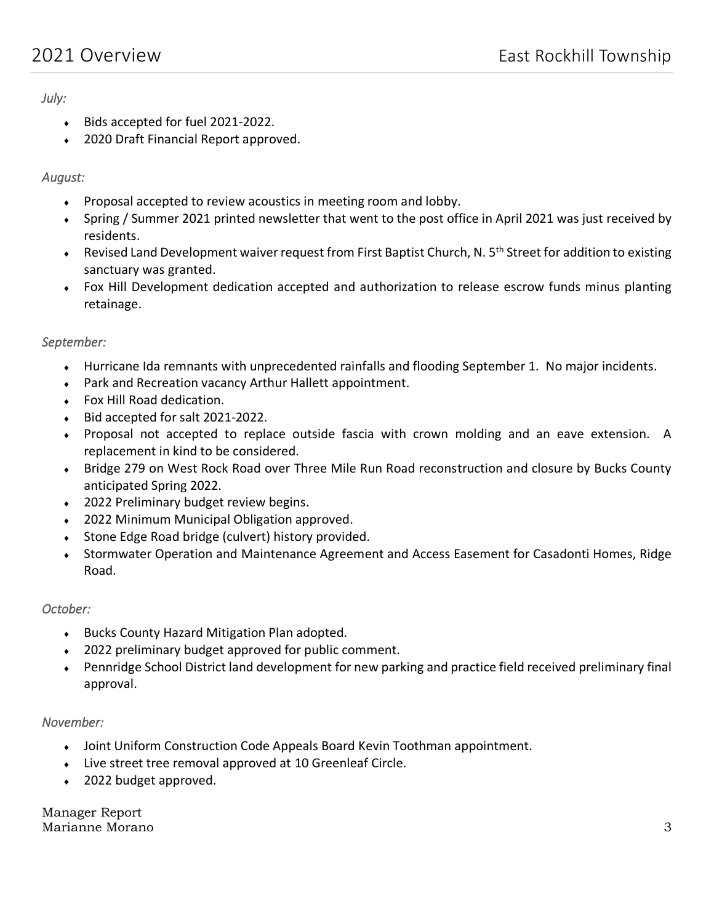## *July:*

- Bids accepted for fuel 2021-2022.
- ◆ 2020 Draft Financial Report approved.

## *August:*

- Proposal accepted to review acoustics in meeting room and lobby.
- Spring / Summer 2021 printed newsletter that went to the post office in April 2021 was just received by residents.
- **Revised Land Development waiver request from First Baptist Church, N. 5<sup>th</sup> Street for addition to existing** sanctuary was granted.
- Fox Hill Development dedication accepted and authorization to release escrow funds minus planting retainage.

## *September:*

- Hurricane Ida remnants with unprecedented rainfalls and flooding September 1. No major incidents.
- Park and Recreation vacancy Arthur Hallett appointment.
- Fox Hill Road dedication.
- Bid accepted for salt 2021-2022.
- Proposal not accepted to replace outside fascia with crown molding and an eave extension. A replacement in kind to be considered.
- Bridge 279 on West Rock Road over Three Mile Run Road reconstruction and closure by Bucks County anticipated Spring 2022.
- ◆ 2022 Preliminary budget review begins.
- ◆ 2022 Minimum Municipal Obligation approved.
- ◆ Stone Edge Road bridge (culvert) history provided.
- Stormwater Operation and Maintenance Agreement and Access Easement for Casadonti Homes, Ridge Road.

### *October:*

- Bucks County Hazard Mitigation Plan adopted.
- 2022 preliminary budget approved for public comment.
- Pennridge School District land development for new parking and practice field received preliminary final approval.

### *November:*

- Joint Uniform Construction Code Appeals Board Kevin Toothman appointment.
- Live street tree removal approved at 10 Greenleaf Circle.
- 2022 budget approved.

Manager Report Marianne Morano 3